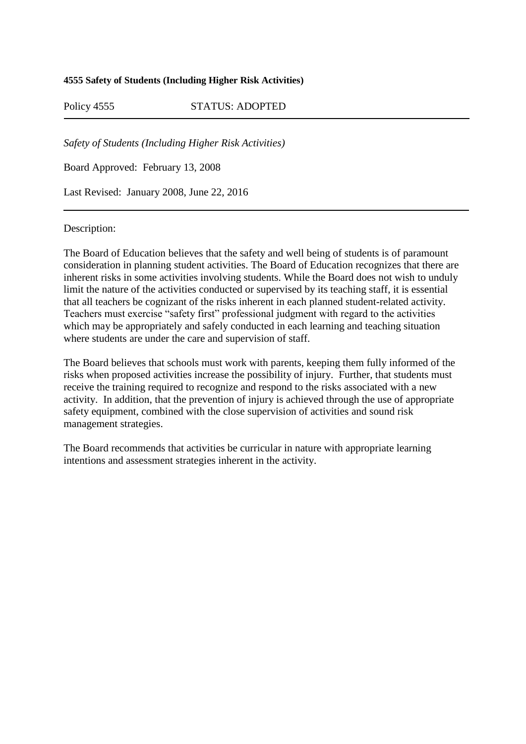## **4555 Safety of Students (Including Higher Risk Activities)**

Policy 4555 STATUS: ADOPTED

*Safety of Students (Including Higher Risk Activities)*

Board Approved: February 13, 2008

Last Revised: January 2008, June 22, 2016

## Description:

The Board of Education believes that the safety and well being of students is of paramount consideration in planning student activities. The Board of Education recognizes that there are inherent risks in some activities involving students. While the Board does not wish to unduly limit the nature of the activities conducted or supervised by its teaching staff, it is essential that all teachers be cognizant of the risks inherent in each planned student-related activity. Teachers must exercise "safety first" professional judgment with regard to the activities which may be appropriately and safely conducted in each learning and teaching situation where students are under the care and supervision of staff.

The Board believes that schools must work with parents, keeping them fully informed of the risks when proposed activities increase the possibility of injury. Further, that students must receive the training required to recognize and respond to the risks associated with a new activity. In addition, that the prevention of injury is achieved through the use of appropriate safety equipment, combined with the close supervision of activities and sound risk management strategies.

The Board recommends that activities be curricular in nature with appropriate learning intentions and assessment strategies inherent in the activity.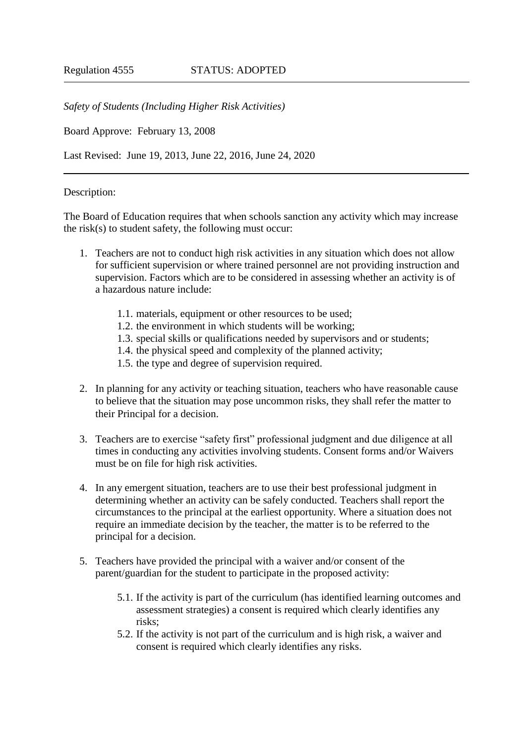*Safety of Students (Including Higher Risk Activities)*

Board Approve: February 13, 2008

Last Revised: June 19, 2013, June 22, 2016, June 24, 2020

## Description:

The Board of Education requires that when schools sanction any activity which may increase the risk(s) to student safety, the following must occur:

- 1. Teachers are not to conduct high risk activities in any situation which does not allow for sufficient supervision or where trained personnel are not providing instruction and supervision. Factors which are to be considered in assessing whether an activity is of a hazardous nature include:
	- 1.1. materials, equipment or other resources to be used;
	- 1.2. the environment in which students will be working;
	- 1.3. special skills or qualifications needed by supervisors and or students;
	- 1.4. the physical speed and complexity of the planned activity;
	- 1.5. the type and degree of supervision required.
- 2. In planning for any activity or teaching situation, teachers who have reasonable cause to believe that the situation may pose uncommon risks, they shall refer the matter to their Principal for a decision.
- 3. Teachers are to exercise "safety first" professional judgment and due diligence at all times in conducting any activities involving students. Consent forms and/or Waivers must be on file for high risk activities.
- 4. In any emergent situation, teachers are to use their best professional judgment in determining whether an activity can be safely conducted. Teachers shall report the circumstances to the principal at the earliest opportunity. Where a situation does not require an immediate decision by the teacher, the matter is to be referred to the principal for a decision.
- 5. Teachers have provided the principal with a waiver and/or consent of the parent/guardian for the student to participate in the proposed activity:
	- 5.1. If the activity is part of the curriculum (has identified learning outcomes and assessment strategies) a consent is required which clearly identifies any risks;
	- 5.2. If the activity is not part of the curriculum and is high risk, a waiver and consent is required which clearly identifies any risks.